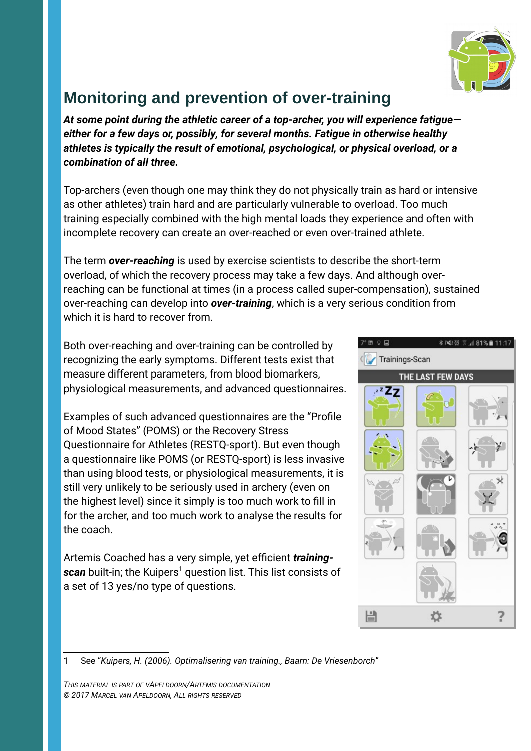

## **Monitoring and prevention of over-training**

*At some point during the athletic career of a top-archer, you will experience fatigue either for a few days or, possibly, for several months. Fatigue in otherwise healthy athletes is typically the result of emotional, psychological, or physical overload, or a combination of all three.*

Top-archers (even though one may think they do not physically train as hard or intensive as other athletes) train hard and are particularly vulnerable to overload. Too much training especially combined with the high mental loads they experience and often with incomplete recovery can create an over-reached or even over-trained athlete.

The term *over-reaching* is used by exercise scientists to describe the short-term overload, of which the recovery process may take a few days. And although overreaching can be functional at times (in a process called super-compensation), sustained over-reaching can develop into *over-training*, which is a very serious condition from which it is hard to recover from.

Both over-reaching and over-training can be controlled by recognizing the early symptoms. Different tests exist that measure different parameters, from blood biomarkers, physiological measurements, and advanced questionnaires.

Examples of such advanced questionnaires are the "Profile of Mood States" (POMS) or the Recovery Stress Questionnaire for Athletes (RESTQ-sport). But even though a questionnaire like POMS (or RESTQ-sport) is less invasive than using blood tests, or physiological measurements, it is still very unlikely to be seriously used in archery (even on the highest level) since it simply is too much work to fill in for the archer, and too much work to analyse the results for the coach.

Artemis Coached has a very simple, yet efficient *training-* $\bm{s}$ can built-in; the Kuipers $^1$  $^1$  question list. This list consists of a set of 13 yes/no type of questions.



<span id="page-0-0"></span>1 See "*Kuipers, H. (2006). Optimalisering van training., Baarn: De Vriesenborch*"

*THIS MATERIAL IS PART OF VAPELDOORN/ARTEMIS DOCUMENTATION © 2017 MARCEL VAN APELDOORN, ALL RIGHTS RESERVED*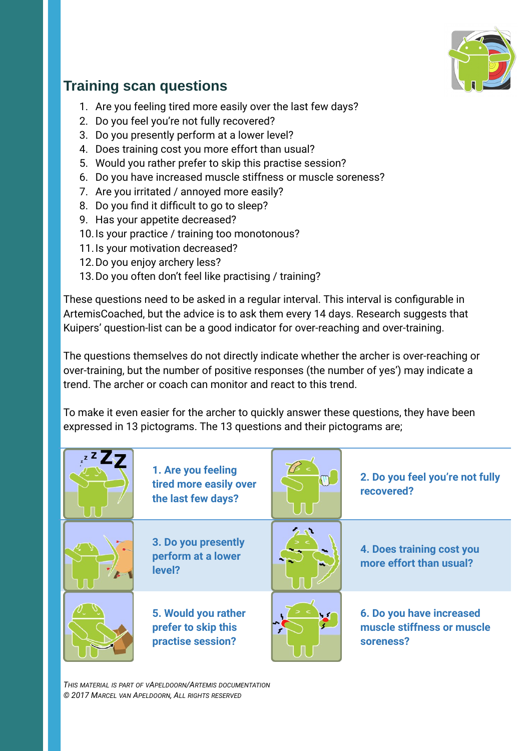

## **Training scan questions**

- 1. Are you feeling tired more easily over the last few days?
- 2. Do you feel you're not fully recovered?
- 3. Do you presently perform at a lower level?
- 4. Does training cost you more effort than usual?
- 5. Would you rather prefer to skip this practise session?
- 6. Do you have increased muscle stiffness or muscle soreness?
- 7. Are you irritated / annoyed more easily?
- 8. Do you find it difficult to go to sleep?
- 9. Has your appetite decreased?
- 10.Is your practice / training too monotonous?
- 11.Is your motivation decreased?
- 12.Do you enjoy archery less?
- 13.Do you often don't feel like practising / training?

These questions need to be asked in a regular interval. This interval is configurable in ArtemisCoached, but the advice is to ask them every 14 days. Research suggests that Kuipers' question-list can be a good indicator for over-reaching and over-training.

The questions themselves do not directly indicate whether the archer is over-reaching or over-training, but the number of positive responses (the number of yes') may indicate a trend. The archer or coach can monitor and react to this trend.

To make it even easier for the archer to quickly answer these questions, they have been expressed in 13 pictograms. The 13 questions and their pictograms are;

| 1. Are you feeling<br>tired more easily over<br>the last few days? | 2. Do you feel you're not fully<br>recovered?                       |
|--------------------------------------------------------------------|---------------------------------------------------------------------|
| 3. Do you presently<br>perform at a lower<br>level?                | 4. Does training cost you<br>more effort than usual?                |
| 5. Would you rather<br>prefer to skip this<br>practise session?    | 6. Do you have increased<br>muscle stiffness or muscle<br>soreness? |

*THIS MATERIAL IS PART OF VAPELDOORN/ARTEMIS DOCUMENTATION © 2017 MARCEL VAN APELDOORN, ALL RIGHTS RESERVED*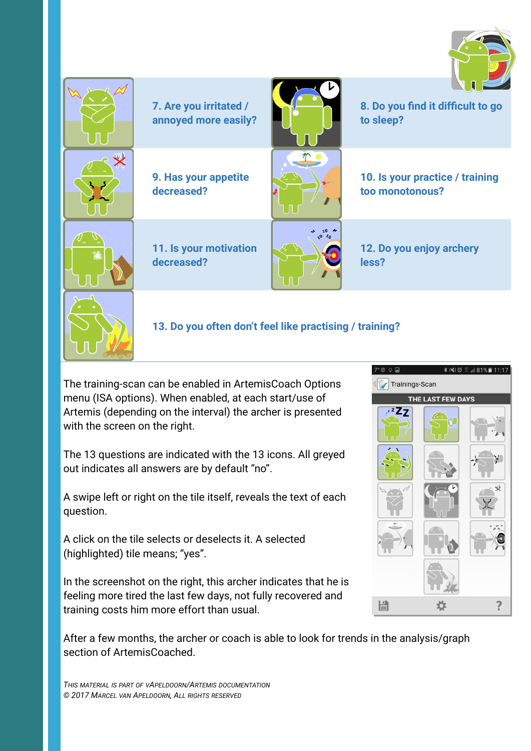



The training-scan can be enabled in ArtemisCoach Options menu (ISA options). When enabled, at each start/use of Artemis (depending on the interval) the archer is presented with the screen on the right.

The 13 questions are indicated with the 13 icons. All greyed out indicates all answers are by default "no".

A swipe left or right on the tile itself, reveals the text of each question.

A click on the tile selects or deselects it. A selected (highlighted) tile means; "yes".

In the screenshot on the right, this archer indicates that he is feeling more tired the last few days, not fully recovered and training costs him more effort than usual.



After a few months, the archer or coach is able to look for trends in the analysis/graph section of ArtemisCoached.

*THIS MATERIAL IS PART OF VAPELDOORN/ARTEMIS DOCUMENTATION © 2017 MARCEL VAN APELDOORN, ALL RIGHTS RESERVED*